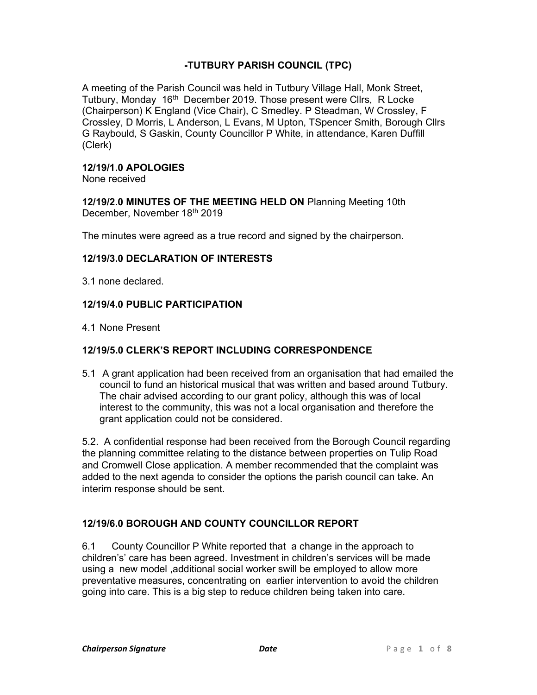# -TUTBURY PARISH COUNCIL (TPC)

A meeting of the Parish Council was held in Tutbury Village Hall, Monk Street, Tutbury, Monday 16<sup>th</sup> December 2019. Those present were Cllrs, R Locke (Chairperson) K England (Vice Chair), C Smedley. P Steadman, W Crossley, F Crossley, D Morris, L Anderson, L Evans, M Upton, TSpencer Smith, Borough Cllrs G Raybould, S Gaskin, County Councillor P White, in attendance, Karen Duffill (Clerk)

#### 12/19/1.0 APOLOGIES

None received

12/19/2.0 MINUTES OF THE MEETING HELD ON Planning Meeting 10th December, November 18th 2019

The minutes were agreed as a true record and signed by the chairperson.

### 12/19/3.0 DECLARATION OF INTERESTS

3.1 none declared.

### 12/19/4.0 PUBLIC PARTICIPATION

4.1 None Present

### 12/19/5.0 CLERK'S REPORT INCLUDING CORRESPONDENCE

5.1 A grant application had been received from an organisation that had emailed the council to fund an historical musical that was written and based around Tutbury. The chair advised according to our grant policy, although this was of local interest to the community, this was not a local organisation and therefore the grant application could not be considered.

5.2. A confidential response had been received from the Borough Council regarding the planning committee relating to the distance between properties on Tulip Road and Cromwell Close application. A member recommended that the complaint was added to the next agenda to consider the options the parish council can take. An interim response should be sent.

### 12/19/6.0 BOROUGH AND COUNTY COUNCILLOR REPORT

6.1 County Councillor P White reported that a change in the approach to children's' care has been agreed. Investment in children's services will be made using a new model ,additional social worker swill be employed to allow more preventative measures, concentrating on earlier intervention to avoid the children going into care. This is a big step to reduce children being taken into care.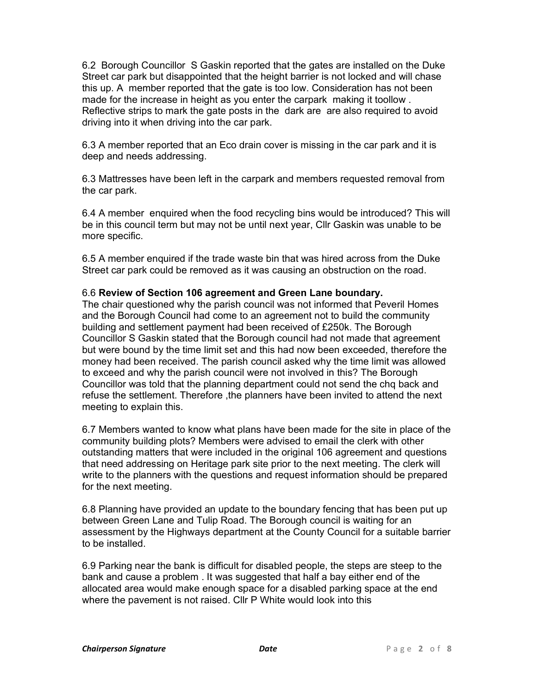6.2 Borough Councillor S Gaskin reported that the gates are installed on the Duke Street car park but disappointed that the height barrier is not locked and will chase this up. A member reported that the gate is too low. Consideration has not been made for the increase in height as you enter the carpark making it toollow . Reflective strips to mark the gate posts in the dark are are also required to avoid driving into it when driving into the car park.

6.3 A member reported that an Eco drain cover is missing in the car park and it is deep and needs addressing.

6.3 Mattresses have been left in the carpark and members requested removal from the car park.

6.4 A member enquired when the food recycling bins would be introduced? This will be in this council term but may not be until next year, Cllr Gaskin was unable to be more specific.

6.5 A member enquired if the trade waste bin that was hired across from the Duke Street car park could be removed as it was causing an obstruction on the road.

# 6.6 Review of Section 106 agreement and Green Lane boundary.

The chair questioned why the parish council was not informed that Peveril Homes and the Borough Council had come to an agreement not to build the community building and settlement payment had been received of £250k. The Borough Councillor S Gaskin stated that the Borough council had not made that agreement but were bound by the time limit set and this had now been exceeded, therefore the money had been received. The parish council asked why the time limit was allowed to exceed and why the parish council were not involved in this? The Borough Councillor was told that the planning department could not send the chq back and refuse the settlement. Therefore ,the planners have been invited to attend the next meeting to explain this.

6.7 Members wanted to know what plans have been made for the site in place of the community building plots? Members were advised to email the clerk with other outstanding matters that were included in the original 106 agreement and questions that need addressing on Heritage park site prior to the next meeting. The clerk will write to the planners with the questions and request information should be prepared for the next meeting.

6.8 Planning have provided an update to the boundary fencing that has been put up between Green Lane and Tulip Road. The Borough council is waiting for an assessment by the Highways department at the County Council for a suitable barrier to be installed.

6.9 Parking near the bank is difficult for disabled people, the steps are steep to the bank and cause a problem . It was suggested that half a bay either end of the allocated area would make enough space for a disabled parking space at the end where the pavement is not raised. Cllr P White would look into this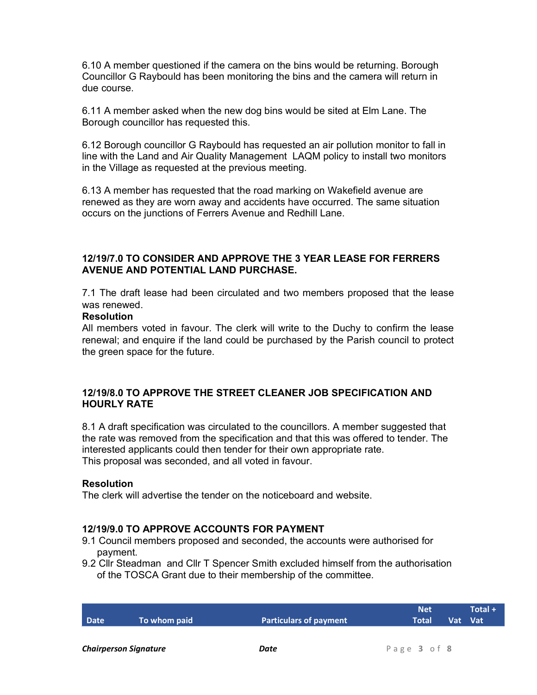6.10 A member questioned if the camera on the bins would be returning. Borough Councillor G Raybould has been monitoring the bins and the camera will return in due course.

6.11 A member asked when the new dog bins would be sited at Elm Lane. The Borough councillor has requested this.

6.12 Borough councillor G Raybould has requested an air pollution monitor to fall in line with the Land and Air Quality Management LAQM policy to install two monitors in the Village as requested at the previous meeting.

6.13 A member has requested that the road marking on Wakefield avenue are renewed as they are worn away and accidents have occurred. The same situation occurs on the junctions of Ferrers Avenue and Redhill Lane.

### 12/19/7.0 TO CONSIDER AND APPROVE THE 3 YEAR LEASE FOR FERRERS AVENUE AND POTENTIAL LAND PURCHASE.

7.1 The draft lease had been circulated and two members proposed that the lease was renewed.

#### **Resolution**

All members voted in favour. The clerk will write to the Duchy to confirm the lease renewal; and enquire if the land could be purchased by the Parish council to protect the green space for the future.

### 12/19/8.0 TO APPROVE THE STREET CLEANER JOB SPECIFICATION AND HOURLY RATE

8.1 A draft specification was circulated to the councillors. A member suggested that the rate was removed from the specification and that this was offered to tender. The interested applicants could then tender for their own appropriate rate. This proposal was seconded, and all voted in favour.

#### **Resolution**

The clerk will advertise the tender on the noticeboard and website.

### 12/19/9.0 TO APPROVE ACCOUNTS FOR PAYMENT

- 9.1 Council members proposed and seconded, the accounts were authorised for payment.
- 9.2 Cllr Steadman and Cllr T Spencer Smith excluded himself from the authorisation of the TOSCA Grant due to their membership of the committee.

|      |              |                               | <b>Net</b>    | $\textsf{Total} +$ |
|------|--------------|-------------------------------|---------------|--------------------|
| Date | To whom paid | <b>Particulars of payment</b> | Total Vat Vat |                    |
|      |              |                               |               |                    |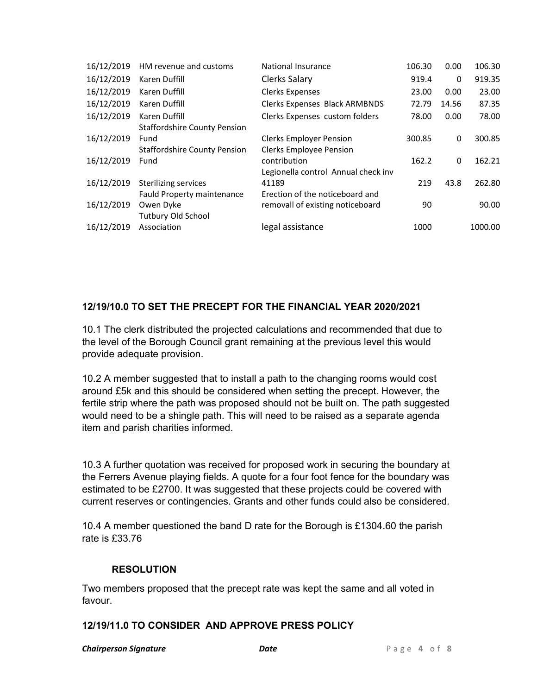| 16/12/2019 | HM revenue and customs              | National Insurance                  | 106.30 | 0.00  | 106.30  |
|------------|-------------------------------------|-------------------------------------|--------|-------|---------|
| 16/12/2019 | Karen Duffill                       | Clerks Salary                       | 919.4  | 0     | 919.35  |
| 16/12/2019 | Karen Duffill                       | <b>Clerks Expenses</b>              | 23.00  | 0.00  | 23.00   |
| 16/12/2019 | Karen Duffill                       | Clerks Expenses Black ARMBNDS       | 72.79  | 14.56 | 87.35   |
| 16/12/2019 | Karen Duffill                       | Clerks Expenses custom folders      | 78.00  | 0.00  | 78.00   |
|            | <b>Staffordshire County Pension</b> |                                     |        |       |         |
| 16/12/2019 | Fund                                | <b>Clerks Employer Pension</b>      | 300.85 | 0     | 300.85  |
|            | <b>Staffordshire County Pension</b> | <b>Clerks Employee Pension</b>      |        |       |         |
| 16/12/2019 | Fund                                | contribution                        | 162.2  | 0     | 162.21  |
|            |                                     | Legionella control Annual check inv |        |       |         |
| 16/12/2019 | Sterilizing services                | 41189                               | 219    | 43.8  | 262.80  |
|            | Fauld Property maintenance          | Erection of the noticeboard and     |        |       |         |
| 16/12/2019 | Owen Dyke                           | removall of existing noticeboard    | 90     |       | 90.00   |
|            | <b>Tutbury Old School</b>           |                                     |        |       |         |
| 16/12/2019 | Association                         | legal assistance                    | 1000   |       | 1000.00 |

# 12/19/10.0 TO SET THE PRECEPT FOR THE FINANCIAL YEAR 2020/2021

10.1 The clerk distributed the projected calculations and recommended that due to the level of the Borough Council grant remaining at the previous level this would provide adequate provision.

10.2 A member suggested that to install a path to the changing rooms would cost around £5k and this should be considered when setting the precept. However, the fertile strip where the path was proposed should not be built on. The path suggested would need to be a shingle path. This will need to be raised as a separate agenda item and parish charities informed.

10.3 A further quotation was received for proposed work in securing the boundary at the Ferrers Avenue playing fields. A quote for a four foot fence for the boundary was estimated to be £2700. It was suggested that these projects could be covered with current reserves or contingencies. Grants and other funds could also be considered.

10.4 A member questioned the band D rate for the Borough is £1304.60 the parish rate is £33.76

### RESOLUTION

Two members proposed that the precept rate was kept the same and all voted in favour.

### 12/19/11.0 TO CONSIDER AND APPROVE PRESS POLICY

**Chairperson Signature The Chairperson Signature Date Date Date P** a g e 4 of 8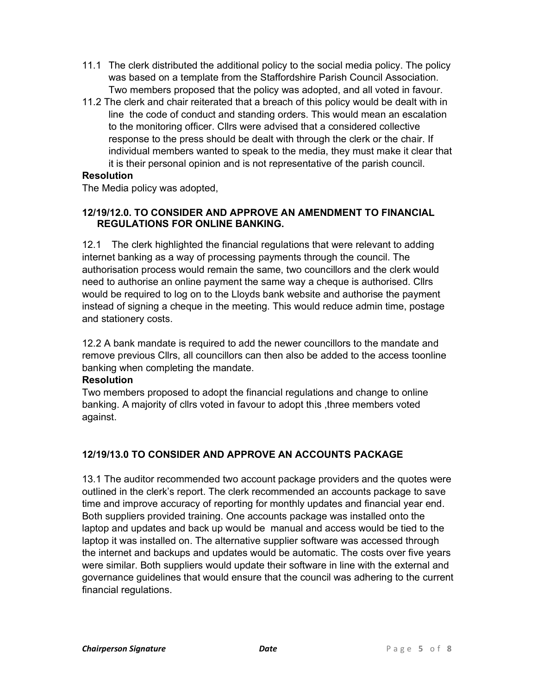- 11.1 The clerk distributed the additional policy to the social media policy. The policy was based on a template from the Staffordshire Parish Council Association. Two members proposed that the policy was adopted, and all voted in favour.
- 11.2 The clerk and chair reiterated that a breach of this policy would be dealt with in line the code of conduct and standing orders. This would mean an escalation to the monitoring officer. Cllrs were advised that a considered collective response to the press should be dealt with through the clerk or the chair. If individual members wanted to speak to the media, they must make it clear that it is their personal opinion and is not representative of the parish council.

## **Resolution**

The Media policy was adopted,

# 12/19/12.0. TO CONSIDER AND APPROVE AN AMENDMENT TO FINANCIAL REGULATIONS FOR ONLINE BANKING.

12.1 The clerk highlighted the financial regulations that were relevant to adding internet banking as a way of processing payments through the council. The authorisation process would remain the same, two councillors and the clerk would need to authorise an online payment the same way a cheque is authorised. Cllrs would be required to log on to the Lloyds bank website and authorise the payment instead of signing a cheque in the meeting. This would reduce admin time, postage and stationery costs.

12.2 A bank mandate is required to add the newer councillors to the mandate and remove previous Cllrs, all councillors can then also be added to the access toonline banking when completing the mandate.

### **Resolution**

Two members proposed to adopt the financial regulations and change to online banking. A majority of cllrs voted in favour to adopt this ,three members voted against.

# 12/19/13.0 TO CONSIDER AND APPROVE AN ACCOUNTS PACKAGE

13.1 The auditor recommended two account package providers and the quotes were outlined in the clerk's report. The clerk recommended an accounts package to save time and improve accuracy of reporting for monthly updates and financial year end. Both suppliers provided training. One accounts package was installed onto the laptop and updates and back up would be manual and access would be tied to the laptop it was installed on. The alternative supplier software was accessed through the internet and backups and updates would be automatic. The costs over five years were similar. Both suppliers would update their software in line with the external and governance guidelines that would ensure that the council was adhering to the current financial regulations.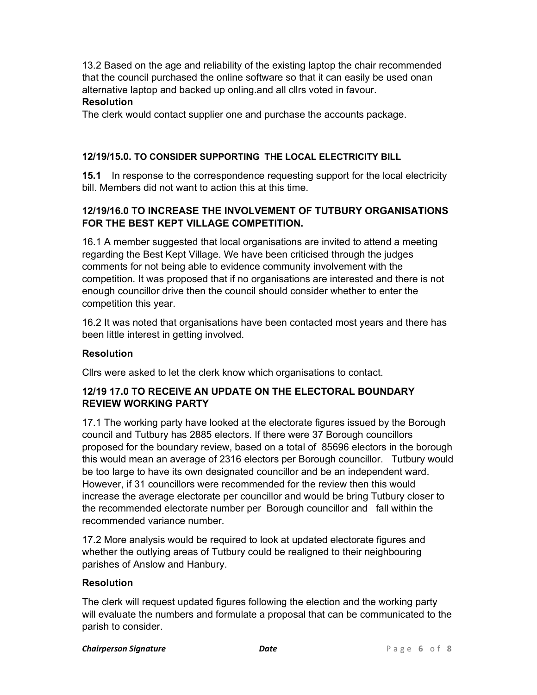13.2 Based on the age and reliability of the existing laptop the chair recommended that the council purchased the online software so that it can easily be used onan alternative laptop and backed up onling.and all cllrs voted in favour. **Resolution** 

# The clerk would contact supplier one and purchase the accounts package.

### 12/19/15.0. TO CONSIDER SUPPORTING THE LOCAL ELECTRICITY BILL

**15.1** In response to the correspondence requesting support for the local electricity bill. Members did not want to action this at this time.

# 12/19/16.0 TO INCREASE THE INVOLVEMENT OF TUTBURY ORGANISATIONS FOR THE BEST KEPT VILLAGE COMPETITION.

16.1 A member suggested that local organisations are invited to attend a meeting regarding the Best Kept Village. We have been criticised through the judges comments for not being able to evidence community involvement with the competition. It was proposed that if no organisations are interested and there is not enough councillor drive then the council should consider whether to enter the competition this year.

16.2 It was noted that organisations have been contacted most years and there has been little interest in getting involved.

### **Resolution**

Cllrs were asked to let the clerk know which organisations to contact.

# 12/19 17.0 TO RECEIVE AN UPDATE ON THE ELECTORAL BOUNDARY REVIEW WORKING PARTY

17.1 The working party have looked at the electorate figures issued by the Borough council and Tutbury has 2885 electors. If there were 37 Borough councillors proposed for the boundary review, based on a total of 85696 electors in the borough this would mean an average of 2316 electors per Borough councillor. Tutbury would be too large to have its own designated councillor and be an independent ward. However, if 31 councillors were recommended for the review then this would increase the average electorate per councillor and would be bring Tutbury closer to the recommended electorate number per Borough councillor and fall within the recommended variance number.

17.2 More analysis would be required to look at updated electorate figures and whether the outlying areas of Tutbury could be realigned to their neighbouring parishes of Anslow and Hanbury.

### **Resolution**

The clerk will request updated figures following the election and the working party will evaluate the numbers and formulate a proposal that can be communicated to the parish to consider.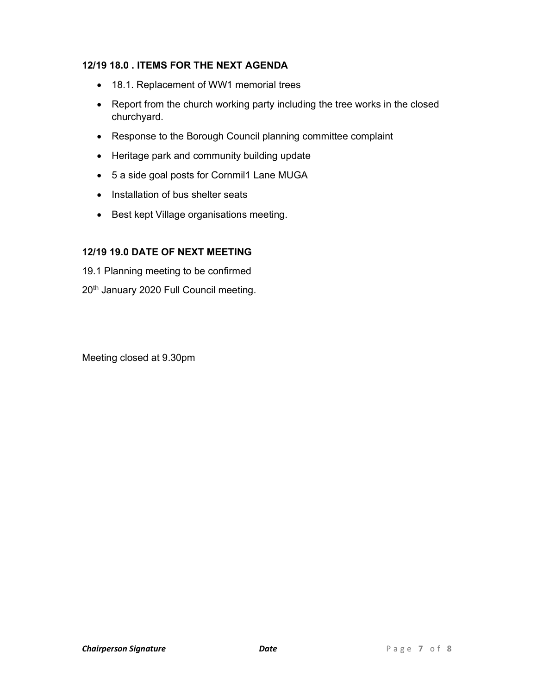# 12/19 18.0 . ITEMS FOR THE NEXT AGENDA

- 18.1. Replacement of WW1 memorial trees
- Report from the church working party including the tree works in the closed churchyard.
- Response to the Borough Council planning committee complaint
- Heritage park and community building update
- 5 a side goal posts for Cornmil1 Lane MUGA
- Installation of bus shelter seats
- Best kept Village organisations meeting.

# 12/19 19.0 DATE OF NEXT MEETING

19.1 Planning meeting to be confirmed 20<sup>th</sup> January 2020 Full Council meeting.

Meeting closed at 9.30pm